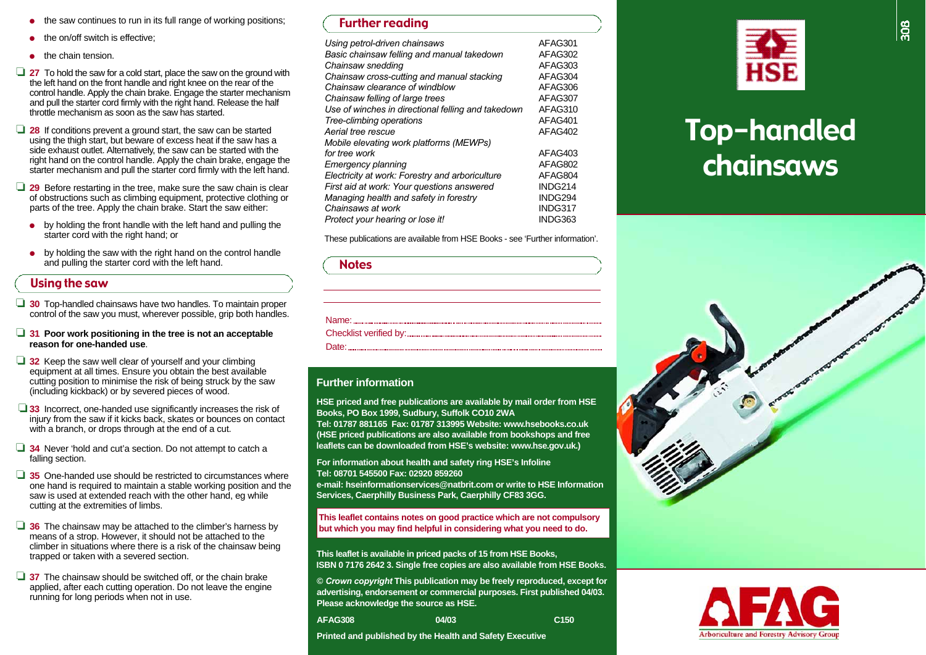- ●the saw continues to run in its full range of working positions;
- ●the on/off switch is effective:
- ●the chain tension.
- □ 27 To hold the saw for a cold start, place the saw on the ground with the left hand on the front handle and right knee on the rear of the control handle. Apply the chain brake. Engage the starter mechanism and pull the starter cord firmly with the right hand. Release the half throttle mechanism as soon as the saw has started.
- □ 28 If conditions prevent a ground start, the saw can be started using the thigh start, but beware of excess heat if the saw has a side exhaust outlet. Alternatively, the saw can be started with the right hand on the control handle. Apply the chain brake, engage the starter mechanism and pull the starter cord firmly with the left hand.
- □ 29 Before restarting in the tree, make sure the saw chain is clear of obstructions such as climbing equipment, protective clothing or parts of the tree. Apply the chain brake. Start the saw either:
	- by holding the front handle with the left hand and pulling the starter cord with the right hand; or
	- by holding the saw with the right hand on the control handle and pulling the starter cord with the left hand.

#### Using the saw

- □ 30 Top-handled chainsaws have two handles. To maintain proper control of the saw you must, wherever possible, grip both handles.
- ❏ **3 1 Poor work positioning in the tree is not an acceptable reason for one-handed use**.
- ❏ **3 2** Keep the saw well clear of yourself and your climbing equipment at all times. Ensure you obtain the best available cutting position to minimise the risk of being struck by the saw (including kickback) or by severed pieces of wood.
- ❏ **3 3** Incorrect, one-handed use significantly increases the risk of injury from the saw if it kicks back, skates or bounces on contact with a branch, or drops through at the end of a cut.
- **□ 34** Never 'hold and cut'a section. Do not attempt to catch a falling section.
- **□ 35** One-handed use should be restricted to circumstances where one hand is required to maintain a stable working position and the saw is used at extended reach with the other hand, eg while cutting at the extremities of limbs.
- □ 36 The chainsaw may be attached to the climber's harness by means of a strop. However, it should not be attached to the climber in situations where there is a risk of the chainsaw being trapped or taken with a severed section.
- □ 37 The chainsaw should be switched off, or the chain brake applied, after each cutting operation. Do not leave the engine running for long periods when not in use.

#### Further reading

| Using petrol-driven chainsaws                      | AFAG301 |
|----------------------------------------------------|---------|
| Basic chainsaw felling and manual takedown         | AFAG302 |
| Chainsaw snedding                                  | AFAG303 |
| Chainsaw cross-cutting and manual stacking         | AFAG304 |
| Chainsaw clearance of windblow                     | AFAG306 |
| Chainsaw felling of large trees                    | AFAG307 |
| Use of winches in directional felling and takedown | AFAG310 |
| Tree-climbing operations                           | AFAG401 |
| Aerial tree rescue                                 | AFAG402 |
| Mobile elevating work platforms (MEWPs)            |         |
| for tree work                                      | AFAG403 |
| Emergency planning                                 | AFAG802 |
| Electricity at work: Forestry and arboriculture    | AFAG804 |
| First aid at work: Your questions answered         | INDG214 |
| Managing health and safety in forestry             | INDG294 |
| Chainsaws at work                                  | INDG317 |
| Protect your hearing or lose it!                   | INDG363 |

These publications are available from HSE Books - see 'Further information'.

# Name: when the state of the state of the state of the state of the state of the state of the state of the state of the state of the state of the state of the state of the state of the state of the state of the state of the Checklist verified by: www.community.com/ Date: **Date: Date: Date: Date: Date: Date: Date: Date: Date: Date: Date: Date: Date: Date: Date: Date: Date: Date: Date: Date: Date: Date: Date: Date: Date: Date: Date: Notes**

#### **Further information**

**HSE priced and free publications are available by mail order from HSE Books, PO Box 1999, Sudbury, Suffolk CO10 2WA**

Tel: 01787 881165 Fax: 01787 313995 Website: www.hsebooks.co.uk **(HSE priced publications are also available from bookshops and free** leaflets can be downloaded from HSE's website: www.hse.gov.uk.)

**For information about health and safety ring HSE's Infoline Tel: 08701 545500 Fax: 02920 859260** 

**e-mail: hseinformationservices@natbrit.com or write to HSE InformationServices, Caerphilly Business Park, Caerphilly CF83 3GG.** 

**This leaflet contains notes on good practice which are not compulsory but which you may find helpful in considering what you need to do.**

**This leaflet is available in priced packs of 15 from HSE Books, ISBN 0 7176 2642 3. Single free copies are also available from HSE Books.** 

**©** *Crown copyright* **This publication may be freely reproduced, except for advertising, endorsement or commercial purposes. First published 04/03. Please acknowledge the source as HSE.**

| AFAG308 | 04/03 | C <sub>150</sub> |
|---------|-------|------------------|
|         |       |                  |

**Printed and published by the Health and Safety Executive**



# Top-handled chainsaws